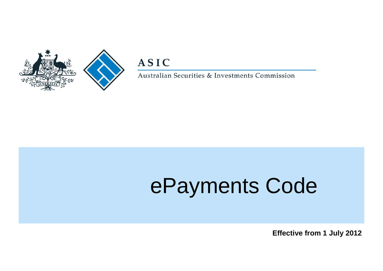

# **ASIC**

Australian Securities & Investments Commission

# ePayments Code

 **Effective from 1 July 2012**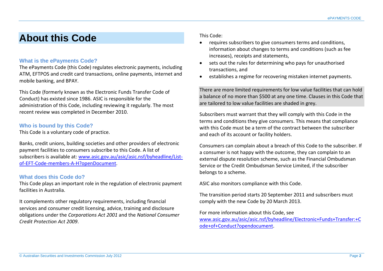# **About this Code**

#### **What is the ePayments Code?**

The ePayments Code (this Code) regulates electronic payments, including ATM, EFTPOS and credit card transactions, online payments, internet and mobile banking, and BPAY.

This Code (formerly known as the Electronic Funds Transfer Code of Conduct) has existed since 1986. ASIC is responsible for the administration of this Code, including reviewing it regularly. The most recent review was completed in December 2010.

#### **Who is bound by this Code?**

This Code is a voluntary code of practice.

Banks, credit unions, building societies and other providers of electronic payment facilities to consumers subscribe to this Code. A list of subscribers is available at: [www.asic.gov.au/asic/asic.nsf/byheadline/List](http://www.asic.gov.au/asic/asic.nsf/byheadline/List-of-EFT-Code-members-A-H?openDocument)[of-EFT-Code-members-A-H?openDocument.](http://www.asic.gov.au/asic/asic.nsf/byheadline/List-of-EFT-Code-members-A-H?openDocument)

#### **What does this Code do?**

This Code plays an important role in the regulation of electronic payment facilities in Australia.

It complements other regulatory requirements, including financial services and consumer credit licensing, advice, training and disclosure obligations under the *Corporations Act 2001* and the *National Consumer Credit Protection Act 2009*.

This Code:

- requires subscribers to give consumers terms and conditions, information about changes to terms and conditions (such as fee increases), receipts and statements,
- sets out the rules for determining who pays for unauthorised transactions, and
- establishes a regime for recovering mistaken internet payments.

There are more limited requirements for low value facilities that can hold a balance of no more than \$500 at any one time. Clauses in this Code that are tailored to low value facilities are shaded in grey.

Subscribers must warrant that they will comply with this Code in the terms and conditions they give consumers. This means that compliance with this Code must be a term of the contract between the subscriber and each of its account or facility holders.

Consumers can complain about a breach of this Code to the subscriber. If a consumer is not happy with the outcome, they can complain to an external dispute resolution scheme, such as the Financial Ombudsman Service or the Credit Ombudsman Service Limited, if the subscriber belongs to a scheme.

ASIC also monitors compliance with this Code.

The transition period starts 20 September 2011 and subscribers must comply with the new Code by 20 March 2013.

For more information about this Code, see [www.asic.gov.au/asic/asic.nsf/byheadline/Electronic+Funds+Transfer:+C](http://www.asic.gov.au/asic/asic.nsf/byheadline/Electronic+Funds+Transfer:+Code+of+Conduct?opendocument) [ode+of+Conduct?opendocument.](http://www.asic.gov.au/asic/asic.nsf/byheadline/Electronic+Funds+Transfer:+Code+of+Conduct?opendocument)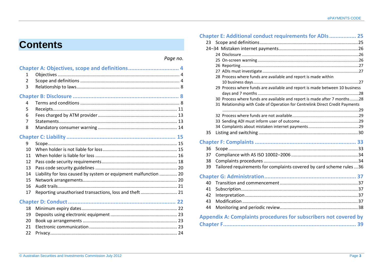# **Contents**

# *Page no.*

| 1               |                                                                  |  |
|-----------------|------------------------------------------------------------------|--|
| $\overline{2}$  |                                                                  |  |
| 3               |                                                                  |  |
|                 |                                                                  |  |
| 4               |                                                                  |  |
| 5               |                                                                  |  |
| 6               |                                                                  |  |
| 7               |                                                                  |  |
| 8               |                                                                  |  |
|                 |                                                                  |  |
| 9               |                                                                  |  |
| 10 <sup>1</sup> |                                                                  |  |
| 11              |                                                                  |  |
| 12              |                                                                  |  |
| 13              |                                                                  |  |
| 14              | Liability for loss caused by system or equipment malfunction  20 |  |
| 15              |                                                                  |  |
| 16              |                                                                  |  |
| 17              | Reporting unauthorised transactions, loss and theft 21           |  |
|                 |                                                                  |  |
| 18              |                                                                  |  |
| 19              |                                                                  |  |
| 20              |                                                                  |  |
| 21              |                                                                  |  |
| 22              |                                                                  |  |
|                 |                                                                  |  |

|    | Chapter E: Additional conduct requirements for ADIs 25                       |  |
|----|------------------------------------------------------------------------------|--|
|    |                                                                              |  |
|    |                                                                              |  |
|    |                                                                              |  |
|    |                                                                              |  |
|    |                                                                              |  |
|    |                                                                              |  |
|    | 28 Process where funds are available and report is made within               |  |
|    |                                                                              |  |
|    | 29 Process where funds are available and report is made between 10 business  |  |
|    | 30 Process where funds are available and report is made after 7 months28     |  |
|    | 31 Relationship with Code of Operation for Centrelink Direct Credit Payments |  |
|    |                                                                              |  |
|    |                                                                              |  |
|    |                                                                              |  |
|    |                                                                              |  |
| 35 |                                                                              |  |
|    |                                                                              |  |
| 36 |                                                                              |  |
| 37 |                                                                              |  |
| 38 |                                                                              |  |
| 39 | Tailored requirements for complaints covered by card scheme rules  36        |  |
|    |                                                                              |  |
| 40 |                                                                              |  |
| 41 |                                                                              |  |
| 42 |                                                                              |  |
| 43 |                                                                              |  |
| 44 |                                                                              |  |
|    |                                                                              |  |
|    | Appendix A: Complaints procedures for subscribers not covered by             |  |
|    |                                                                              |  |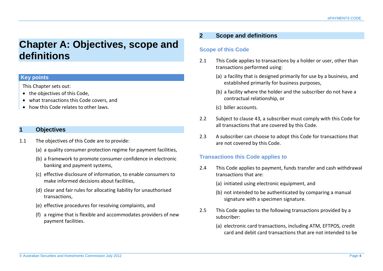# <span id="page-3-0"></span>**Chapter A: Objectives, scope and definitions**

# **Key points**

This Chapter sets out:

- the objectives of this Code.
- what transactions this Code covers, and
- how this Code relates to other laws.

# <span id="page-3-1"></span>**1 Objectives**

- 1.1 The objectives of this Code are to provide:
	- (a) a quality consumer protection regime for payment facilities,
	- (b) a framework to promote consumer confidence in electronic banking and payment systems,
	- (c) effective disclosure of information, to enable consumers to make informed decisions about facilities,
	- (d) clear and fair rules for allocating liability for unauthorised transactions,
	- (e) effective procedures for resolving complaints, and
	- (f) a regime that is flexible and accommodates providers of new payment facilities.

# <span id="page-3-2"></span>**2 Scope and definitions**

# **Scope of this Code**

- 2.1 This Code applies to transactions by a holder or user, other than transactions performed using:
	- (a) a facility that is designed primarily for use by a business, and established primarily for business purposes,
	- (b) a facility where the holder and the subscriber do not have a contractual relationship, or
	- (c) biller accounts.
- 2.2 Subject to clause 43, a subscriber must comply with this Code for all transactions that are covered by this Code.
- 2.3 A subscriber can choose to adopt this Code for transactions that are not covered by this Code.

# **Transactions this Code applies to**

- 2.4 This Code applies to payment, funds transfer and cash withdrawal transactions that are:
	- (a) initiated using electronic equipment, and
	- (b) not intended to be authenticated by comparing a manual signature with a specimen signature.
- 2.5 This Code applies to the following transactions provided by a subscriber:
	- (a) electronic card transactions, including ATM, EFTPOS, credit card and debit card transactions that are not intended to be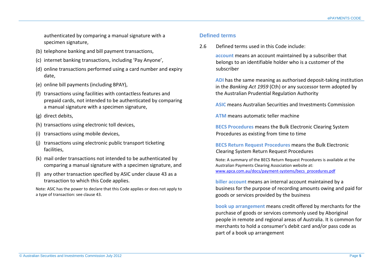authenticated by comparing a manual signature with a specimen signature,

- (b) telephone banking and bill payment transactions,
- (c) internet banking transactions, including 'Pay Anyone',
- (d) online transactions performed using a card number and expiry date,
- (e) online bill payments (including BPAY),
- (f) transactions using facilities with contactless features and prepaid cards, not intended to be authenticated by comparing a manual signature with a specimen signature,
- (g) direct debits,
- (h) transactions using electronic toll devices,
- (i) transactions using mobile devices,
- (j) transactions using electronic public transport ticketing facilities,
- (k) mail order transactions not intended to be authenticated by comparing a manual signature with a specimen signature, and
- (l) any other transaction specified by ASIC under clause 43 as a transaction to which this Code applies.

Note: ASIC has the power to declare that this Code applies or does not apply to a type of transaction: see clause 43.

#### **Defined terms**

2.6 Defined terms used in this Code include:

**account** means an account maintained by a subscriber that belongs to an identifiable holder who is a customer of the subscriber

**ADI** has the same meaning as authorised deposit-taking institution in the *Banking Act 1959* (Cth) or any successor term adopted by the Australian Prudential Regulation Authority

**ASIC** means Australian Securities and Investments Commission

**ATM** means automatic teller machine

**BECS Procedures** means the Bulk Electronic Clearing System Procedures as existing from time to time

**BECS Return Request Procedures** means the Bulk Electronic Clearing System Return Request Procedures

Note: A summary of the BECS Return Request Procedures is available at the Australian Payments Clearing Association website at: [www.apca.com.au/docs/payment-systems/becs\\_procedures.pdf](http://www.apca.com.au/docs/payment-systems/becs_procedures.pdf)

**biller account** means an internal account maintained by a business for the purpose of recording amounts owing and paid for goods or services provided by the business

**book up arrangement** means credit offered by merchants for the purchase of goods or services commonly used by Aboriginal people in remote and regional areas of Australia. It is common for merchants to hold a consumer's debit card and/or pass code as part of a book up arrangement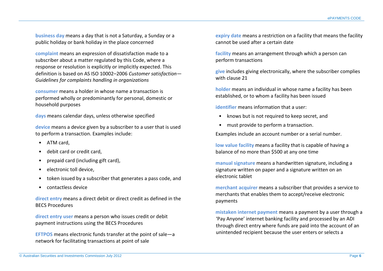**business day** means a day that is not a Saturday, a Sunday or a public holiday or bank holiday in the place concerned

**complaint** means an expression of dissatisfaction made to a subscriber about a matter regulated by this Code, where a response or resolution is explicitly or implicitly expected. This definition is based on AS ISO 10002–2006 *Customer satisfaction— Guidelines for complaints handling in organizations*

**consumer** means a holder in whose name a transaction is performed wholly or predominantly for personal, domestic or household purposes

**days** means calendar days, unless otherwise specified

**device** means a device given by a subscriber to a user that is used to perform a transaction. Examples include:

- ATM card,
- debit card or credit card,
- prepaid card (including gift card),
- electronic toll device,
- token issued by a subscriber that generates a pass code, and
- contactless device

**direct entry** means a direct debit or direct credit as defined in the BECS Procedures

**direct entry user** means a person who issues credit or debit payment instructions using the BECS Procedures

**EFTPOS** means electronic funds transfer at the point of sale—a network for facilitating transactions at point of sale

**expiry date** means a restriction on a facility that means the facility cannot be used after a certain date

**facility** means an arrangement through which a person can perform transactions

**give** includes giving electronically, where the subscriber complies with clause 21

**holder** means an individual in whose name a facility has been established, or to whom a facility has been issued

**identifier** means information that a user:

- knows but is not required to keep secret, and
- must provide to perform a transaction.

Examples include an account number or a serial number.

**low value facility** means a facility that is capable of having a balance of no more than \$500 at any one time

**manual signature** means a handwritten signature, including a signature written on paper and a signature written on an electronic tablet

**merchant acquirer** means a subscriber that provides a service to merchants that enables them to accept/receive electronic payments

**mistaken internet payment** means a payment by a user through a 'Pay Anyone' internet banking facility and processed by an ADI through direct entry where funds are paid into the account of an unintended recipient because the user enters or selects a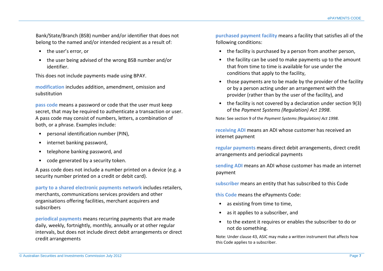Bank/State/Branch (BSB) number and/or identifier that does not belong to the named and/or intended recipient as a result of:

- the user's error, or
- the user being advised of the wrong BSB number and/or identifier.

This does not include payments made using BPAY.

**modification** includes addition, amendment, omission and substitution

**pass code** means a password or code that the user must keep secret, that may be required to authenticate a transaction or user. A pass code may consist of numbers, letters, a combination of both, or a phrase. Examples include:

- personal identification number (PIN),
- internet banking password,
- telephone banking password, and
- code generated by a security token.

A pass code does not include a number printed on a device (e.g. a security number printed on a credit or debit card).

**party to a shared electronic payments network** includes retailers, merchants, communications services providers and other organisations offering facilities, merchant acquirers and subscribers

**periodical payments** means recurring payments that are made daily, weekly, fortnightly, monthly, annually or at other regular intervals, but does not include direct debit arrangements or direct credit arrangements

**purchased payment facility** means a facility that satisfies all of the following conditions:

- the facility is purchased by a person from another person,
- the facility can be used to make payments up to the amount that from time to time is available for use under the conditions that apply to the facility,
- those payments are to be made by the provider of the facility or by a person acting under an arrangement with the provider (rather than by the user of the facility), and
- the facility is not covered by a declaration under section 9(3) of the *Payment Systems (Regulation) Act 1998*.

Note: See section 9 of the *Payment Systems (Regulation) Act 1998*.

**receiving ADI** means an ADI whose customer has received an internet payment

**regular payments** means direct debit arrangements, direct credit arrangements and periodical payments

**sending ADI** means an ADI whose customer has made an internet payment

**subscriber** means an entity that has subscribed to this Code

**this Code** means the ePayments Code:

- as existing from time to time.
- as it applies to a subscriber, and
- to the extent it requires or enables the subscriber to do or not do something.

Note: Under clause 43, ASIC may make a written instrument that affects how this Code applies to a subscriber.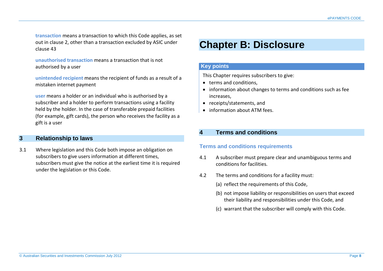**transaction** means a transaction to which this Code applies, as set out in clause 2, other than a transaction excluded by ASIC under clause 43

**unauthorised transaction** means a transaction that is not authorised by a user

**unintended recipient** means the recipient of funds as a result of a mistaken internet payment

**user** means a holder or an individual who is authorised by a subscriber and a holder to perform transactions using a facility held by the holder. In the case of transferable prepaid facilities (for example, gift cards), the person who receives the facility as a gift is a user

#### <span id="page-7-0"></span>**3 Relationship to laws**

3.1 Where legislation and this Code both impose an obligation on subscribers to give users information at different times, subscribers must give the notice at the earliest time it is required under the legislation or this Code.

# <span id="page-7-1"></span>**Chapter B: Disclosure**

#### **Key points**

This Chapter requires subscribers to give:

- terms and conditions,
- information about changes to terms and conditions such as fee increases,
- receipts/statements, and
- information about ATM fees.

# <span id="page-7-2"></span>**4 Terms and conditions**

#### **Terms and conditions requirements**

- 4.1 A subscriber must prepare clear and unambiguous terms and conditions for facilities.
- 4.2 The terms and conditions for a facility must:
	- (a) reflect the requirements of this Code,
	- (b) not impose liability or responsibilities on users that exceed their liability and responsibilities under this Code, and
	- (c) warrant that the subscriber will comply with this Code.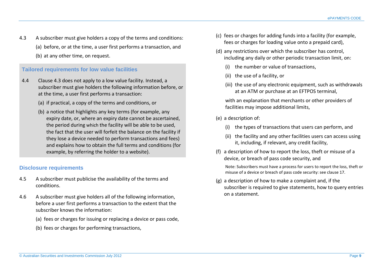4.3 A subscriber must give holders a copy of the terms and conditions: (a) before, or at the time, a user first performs a transaction, and (b) at any other time, on request.

#### **Tailored requirements for low value facilities**

- 4.4 Clause 4.3 does not apply to a low value facility. Instead, a subscriber must give holders the following information before, or at the time, a user first performs a transaction:
	- (a) if practical, a copy of the terms and conditions, or
	- (b) a notice that highlights any key terms (for example, any expiry date, or, where an expiry date cannot be ascertained, the period during which the facility will be able to be used, the fact that the user will forfeit the balance on the facility if they lose a device needed to perform transactions and fees) and explains how to obtain the full terms and conditions (for example, by referring the holder to a website).

# **Disclosure requirements**

- 4.5 A subscriber must publicise the availability of the terms and conditions.
- 4.6 A subscriber must give holders all of the following information, before a user first performs a transaction to the extent that the subscriber knows the information:
	- (a) fees or charges for issuing or replacing a device or pass code,
	- (b) fees or charges for performing transactions,
- (c) fees or charges for adding funds into a facility (for example, fees or charges for loading value onto a prepaid card),
- (d) any restrictions over which the subscriber has control, including any daily or other periodic transaction limit, on:
	- (i) the number or value of transactions,
	- (ii) the use of a facility, or
	- (iii) the use of any electronic equipment, such as withdrawals at an ATM or purchase at an EFTPOS terminal,

with an explanation that merchants or other providers of facilities may impose additional limits,

- (e) a description of:
	- (i) the types of transactions that users can perform, and
	- (ii) the facility and any other facilities users can access using it, including, if relevant, any credit facility,
- (f) a description of how to report the loss, theft or misuse of a device, or breach of pass code security, and

Note: Subscribers must have a process for users to report the loss, theft or misuse of a device or breach of pass code security: see clause 17.

(g) a description of how to make a complaint and, if the subscriber is required to give statements, how to query entries on a statement.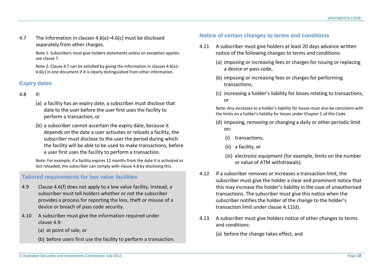4.7 The information in clauses 4.6(a)–4.6(c) must be disclosed separately from other charges.

> Note 1: Subscribers must give holders statements unless an exception applies: see clause 7.

> Note 2: Clause 4.7 can be satisfied by giving the information in clauses 4.6(a)– 4.6(c) in one document if it is clearly distinguished from other information.

# **Expiry dates**

- 4.8 If:
	- (a) a facility has an expiry date, a subscriber must disclose that date to the user before the user first uses the facility to perform a transaction, or
	- (b) a subscriber cannot ascertain the expiry date, because it depends on the date a user activates or reloads a facility, the subscriber must disclose to the user the period during which the facility will be able to be used to make transactions, before a user first uses the facility to perform a transaction.

Note: For example, if a facility expires 12 months from the date it is activated or last reloaded, the subscriber can comply with clause 4.8 by disclosing this.

# **Tailored requirements for low value facilities**

- 4.9 Clause 4.6(f) does not apply to a low value facility. Instead, a subscriber must tell holders whether or not the subscriber provides a process for reporting the loss, theft or misuse of a device or breach of pass code security.
- 4.10 A subscriber must give the information required under clause 4.9:
	- (a) at point of sale, or
	- (b) before users first use the facility to perform a transaction.

# **Notice of certain changes to terms and conditions**

- 4.11 A subscriber must give holders at least 20 days advance written notice of the following changes to terms and conditions:
	- (a) imposing or increasing fees or charges for issuing or replacing a device or pass code,
	- (b) imposing or increasing fees or charges for performing transactions,
	- (c) increasing a holder's liability for losses relating to transactions, or

Note: Any increases to a holder's liability for losses must also be consistent with the limits on a holder's liability for losses under Chapter C of this Code.

- (d) imposing, removing or changing a daily or other periodic limit on:
	- (i) transactions,
	- (ii) a facility, or
	- (iii) electronic equipment (for example, limits on the number or value of ATM withdrawals).
- 4.12 If a subscriber removes or increases a transaction limit, the subscriber must give the holder a clear and prominent notice that this may increase the holder's liability in the case of unauthorised transactions. The subscriber must give this notice when the subscriber notifies the holder of the change to the holder's transaction limit under clause 4.11(d).
- 4.13 A subscriber must give holders notice of other changes to terms and conditions:
	- (a) before the change takes effect, and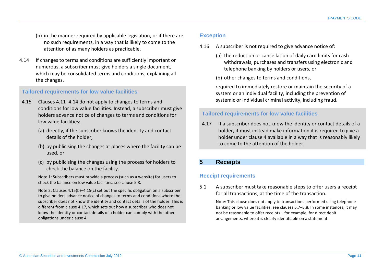- (b) in the manner required by applicable legislation, or if there are no such requirements, in a way that is likely to come to the attention of as many holders as practicable.
- 4.14 If changes to terms and conditions are sufficiently important or numerous, a subscriber must give holders a single document, which may be consolidated terms and conditions, explaining all the changes.

#### **Tailored requirements for low value facilities**

- 4.15 Clauses 4.11–4.14 do not apply to changes to terms and conditions for low value facilities. Instead, a subscriber must give holders advance notice of changes to terms and conditions for low value facilities:
	- (a) directly, if the subscriber knows the identity and contact details of the holder,
	- (b) by publicising the changes at places where the facility can be used, or
	- (c) by publicising the changes using the process for holders to check the balance on the facility.

Note 1: Subscribers must provide a process (such as a website) for users to check the balance on low value facilities: see clause 5.8.

Note 2: Clauses 4.15(b)–4.15(c) set out the specific obligation on a subscriber to give holders advance notice of changes to terms and conditions where the subscriber does not know the identity and contact details of the holder. This is different from clause 4.17, which sets out how a subscriber who does not know the identity or contact details of a holder can comply with the other obligations under clause 4.

#### **Exception**

- 4.16 A subscriber is not required to give advance notice of:
	- (a) the reduction or cancellation of daily card limits for cash withdrawals, purchases and transfers using electronic and telephone banking by holders or users, or
	- (b) other changes to terms and conditions,

required to immediately restore or maintain the security of a system or an individual facility, including the prevention of systemic or individual criminal activity, including fraud.

#### **Tailored requirements for low value facilities**

4.17 If a subscriber does not know the identity or contact details of a holder, it must instead make information it is required to give a holder under clause 4 available in a way that is reasonably likely to come to the attention of the holder.

# <span id="page-10-0"></span>**5 Receipts**

#### **Receipt requirements**

5.1 A subscriber must take reasonable steps to offer users a receipt for all transactions, at the time of the transaction.

Note: This clause does not apply to transactions performed using telephone banking or low value facilities: see clauses 5.7–5.8. In some instances, it may not be reasonable to offer receipts—for example, for direct debit arrangements, where it is clearly identifiable on a statement.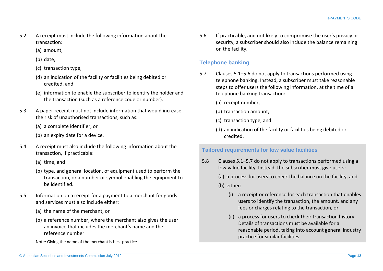- 5.2 A receipt must include the following information about the transaction:
	- (a) amount,
	- (b) date,
	- (c) transaction type,
	- (d) an indication of the facility or facilities being debited or credited, and
	- (e) information to enable the subscriber to identify the holder and the transaction (such as a reference code or number).
- 5.3 A paper receipt must not include information that would increase the risk of unauthorised transactions, such as:
	- (a) a complete identifier, or
	- (b) an expiry date for a device.
- 5.4 A receipt must also include the following information about the transaction, if practicable:
	- (a) time, and
	- (b) type, and general location, of equipment used to perform the transaction, or a number or symbol enabling the equipment to be identified.
- 5.5 Information on a receipt for a payment to a merchant for goods and services must also include either:
	- (a) the name of the merchant, or
	- (b) a reference number, where the merchant also gives the user an invoice that includes the merchant's name and the reference number.

Note: Giving the name of the merchant is best practice.

5.6 If practicable, and not likely to compromise the user's privacy or security, a subscriber should also include the balance remaining on the facility.

# **Telephone banking**

- 5.7 Clauses 5.1–5.6 do not apply to transactions performed using telephone banking. Instead, a subscriber must take reasonable steps to offer users the following information, at the time of a telephone banking transaction:
	- (a) receipt number,
	- (b) transaction amount,
	- (c) transaction type, and
	- (d) an indication of the facility or facilities being debited or credited.

# **Tailored requirements for low value facilities**

- 5.8 Clauses 5.1–5.7 do not apply to transactions performed using a low value facility. Instead, the subscriber must give users:
	- (a) a process for users to check the balance on the facility, and
	- (b) either:
		- (i) a receipt or reference for each transaction that enables users to identify the transaction, the amount, and any fees or charges relating to the transaction, or
		- (ii) a process for users to check their transaction history. Details of transactions must be available for a reasonable period, taking into account general industry practice for similar facilities.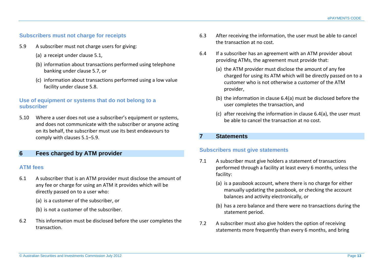#### **Subscribers must not charge for receipts**

- 5.9 A subscriber must not charge users for giving:
	- (a) a receipt under clause 5.1,
	- (b) information about transactions performed using telephone banking under clause 5.7, or
	- (c) information about transactions performed using a low value facility under clause 5.8.

# **Use of equipment or systems that do not belong to a subscriber**

5.10 Where a user does not use a subscriber's equipment or systems, and does not communicate with the subscriber or anyone acting on its behalf, the subscriber must use its best endeavours to comply with clauses 5.1–5.9.

# <span id="page-12-0"></span>**6 Fees charged by ATM provider**

#### **ATM fees**

- 6.1 A subscriber that is an ATM provider must disclose the amount of any fee or charge for using an ATM it provides which will be directly passed on to a user who:
	- (a) is a customer of the subscriber, or
	- (b) is not a customer of the subscriber.
- 6.2 This information must be disclosed before the user completes the transaction.
- 6.3 After receiving the information, the user must be able to cancel the transaction at no cost.
- 6.4 If a subscriber has an agreement with an ATM provider about providing ATMs, the agreement must provide that:
	- (a) the ATM provider must disclose the amount of any fee charged for using its ATM which will be directly passed on to a customer who is not otherwise a customer of the ATM provider,
	- (b) the information in clause 6.4(a) must be disclosed before the user completes the transaction, and
	- (c) after receiving the information in clause 6.4(a), the user must be able to cancel the transaction at no cost.

# <span id="page-12-1"></span>**7 Statements**

# **Subscribers must give statements**

- 7.1 A subscriber must give holders a statement of transactions performed through a facility at least every 6 months, unless the facility:
	- (a) is a passbook account, where there is no charge for either manually updating the passbook, or checking the account balances and activity electronically, or
	- (b) has a zero balance and there were no transactions during the statement period.
- 7.2 A subscriber must also give holders the option of receiving statements more frequently than every 6 months, and bring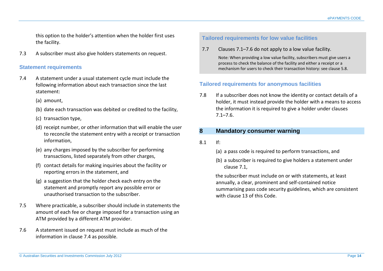this option to the holder's attention when the holder first uses the facility.

7.3 A subscriber must also give holders statements on request.

#### **Statement requirements**

- 7.4 A statement under a usual statement cycle must include the following information about each transaction since the last statement:
	- (a) amount,
	- (b) date each transaction was debited or credited to the facility,
	- (c) transaction type,
	- (d) receipt number, or other information that will enable the user to reconcile the statement entry with a receipt or transaction information,
	- (e) any charges imposed by the subscriber for performing transactions, listed separately from other charges,
	- (f) contact details for making inquiries about the facility or reporting errors in the statement, and
	- (g) a suggestion that the holder check each entry on the statement and promptly report any possible error or unauthorised transaction to the subscriber.
- 7.5 Where practicable, a subscriber should include in statements the amount of each fee or charge imposed for a transaction using an ATM provided by a different ATM provider.
- 7.6 A statement issued on request must include as much of the information in clause 7.4 as possible.

# **Tailored requirements for low value facilities**

7.7 Clauses 7.1–7.6 do not apply to a low value facility.

Note: When providing a low value facility, subscribers must give users a process to check the balance of the facility and either a receipt or a mechanism for users to check their transaction history: see clause 5.8.

#### **Tailored requirements for anonymous facilities**

7.8 If a subscriber does not know the identity or contact details of a holder, it must instead provide the holder with a means to access the information it is required to give a holder under clauses 7.1–7.6.

#### <span id="page-13-0"></span>**8 Mandatory consumer warning**

- $8.1$  If
	- (a) a pass code is required to perform transactions, and
	- (b) a subscriber is required to give holders a statement under clause 7.1,

the subscriber must include on or with statements, at least annually, a clear, prominent and self-contained notice summarising pass code security guidelines, which are consistent with clause 13 of this Code.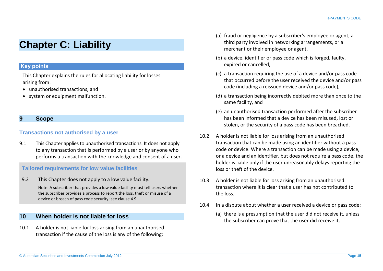# <span id="page-14-0"></span>**Chapter C: Liability**

# **Key points**

This Chapter explains the rules for allocating liability for losses arising from:

- unauthorised transactions, and
- system or equipment malfunction.

#### <span id="page-14-1"></span>**9 Scope**

#### **Transactions not authorised by a user**

9.1 This Chapter applies to unauthorised transactions. It does not apply to any transaction that is performed by a user or by anyone who performs a transaction with the knowledge and consent of a user.

#### **Tailored requirements for low value facilities**

9.2 This Chapter does not apply to a low value facility.

Note: A subscriber that provides a low value facility must tell users whether the subscriber provides a process to report the loss, theft or misuse of a device or breach of pass code security: see clause 4.9.

# <span id="page-14-2"></span>**10 When holder is not liable for loss**

10.1 A holder is not liable for loss arising from an unauthorised transaction if the cause of the loss is any of the following:

- (a) fraud or negligence by a subscriber's employee or agent, a third party involved in networking arrangements, or a merchant or their employee or agent,
- (b) a device, identifier or pass code which is forged, faulty, expired or cancelled,
- (c) a transaction requiring the use of a device and/or pass code that occurred before the user received the device and/or pass code (including a reissued device and/or pass code),
- (d) a transaction being incorrectly debited more than once to the same facility, and
- (e) an unauthorised transaction performed after the subscriber has been informed that a device has been misused, lost or stolen, or the security of a pass code has been breached.
- 10.2 A holder is not liable for loss arising from an unauthorised transaction that can be made using an identifier without a pass code or device. Where a transaction can be made using a device, or a device and an identifier, but does not require a pass code, the holder is liable only if the user unreasonably delays reporting the loss or theft of the device.
- 10.3 A holder is not liable for loss arising from an unauthorised transaction where it is clear that a user has not contributed to the loss.
- 10.4 In a dispute about whether a user received a device or pass code:
	- (a) there is a presumption that the user did not receive it, unless the subscriber can prove that the user did receive it,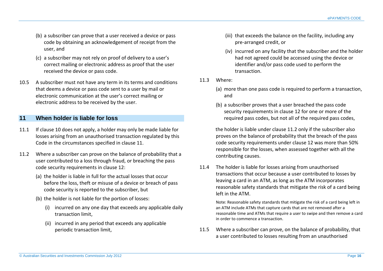- (b) a subscriber can prove that a user received a device or pass code by obtaining an acknowledgement of receipt from the user, and
- (c) a subscriber may not rely on proof of delivery to a user's correct mailing or electronic address as proof that the user received the device or pass code.
- 10.5 A subscriber must not have any term in its terms and conditions that deems a device or pass code sent to a user by mail or electronic communication at the user's correct mailing or electronic address to be received by the user.

# <span id="page-15-0"></span>**11 When holder is liable for loss**

- 11.1 If clause 10 does not apply, a holder may only be made liable for losses arising from an unauthorised transaction regulated by this Code in the circumstances specified in clause 11.
- 11.2 Where a subscriber can prove on the balance of probability that a user contributed to a loss through fraud, or breaching the pass code security requirements in clause 12:
	- (a) the holder is liable in full for the actual losses that occur before the loss, theft or misuse of a device or breach of pass code security is reported to the subscriber, but
	- (b) the holder is not liable for the portion of losses:
		- (i) incurred on any one day that exceeds any applicable daily transaction limit,
		- (ii) incurred in any period that exceeds any applicable periodic transaction limit,
- (iii) that exceeds the balance on the facility, including any pre-arranged credit, or
- (iv) incurred on any facility that the subscriber and the holder had not agreed could be accessed using the device or identifier and/or pass code used to perform the transaction.
- 11.3 Where:
	- (a) more than one pass code is required to perform a transaction, and
	- (b) a subscriber proves that a user breached the pass code security requirements in clause 12 for one or more of the required pass codes, but not all of the required pass codes,

the holder is liable under clause 11.2 only if the subscriber also proves on the balance of probability that the breach of the pass code security requirements under clause 12 was more than 50% responsible for the losses, when assessed together with all the contributing causes.

11.4 The holder is liable for losses arising from unauthorised transactions that occur because a user contributed to losses by leaving a card in an ATM, as long as the ATM incorporates reasonable safety standards that mitigate the risk of a card being left in the ATM.

Note: Reasonable safety standards that mitigate the risk of a card being left in an ATM include ATMs that capture cards that are not removed after a reasonable time and ATMs that require a user to swipe and then remove a card in order to commence a transaction.

11.5 Where a subscriber can prove, on the balance of probability, that a user contributed to losses resulting from an unauthorised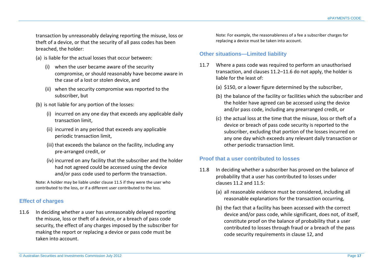transaction by unreasonably delaying reporting the misuse, loss or theft of a device, or that the security of all pass codes has been breached, the holder:

- (a) is liable for the actual losses that occur between:
	- (i) when the user became aware of the security compromise, or should reasonably have become aware in the case of a lost or stolen device, and
	- (ii) when the security compromise was reported to the subscriber, but
- (b) is not liable for any portion of the losses:
	- (i) incurred on any one day that exceeds any applicable daily transaction limit,
	- (ii) incurred in any period that exceeds any applicable periodic transaction limit,
	- (iii) that exceeds the balance on the facility, including any pre-arranged credit, or
	- (iv) incurred on any facility that the subscriber and the holder had not agreed could be accessed using the device and/or pass code used to perform the transaction.

Note: A holder may be liable under clause 11.5 if they were the user who contributed to the loss, or if a different user contributed to the loss.

# **Effect of charges**

11.6 In deciding whether a user has unreasonably delayed reporting the misuse, loss or theft of a device, or a breach of pass code security, the effect of any charges imposed by the subscriber for making the report or replacing a device or pass code must be taken into account.

Note: For example, the reasonableness of a fee a subscriber charges for replacing a device must be taken into account.

#### **Other situations—Limited liability**

- 11.7 Where a pass code was required to perform an unauthorised transaction, and clauses 11.2–11.6 do not apply, the holder is liable for the least of:
	- (a) \$150, or a lower figure determined by the subscriber,
	- (b) the balance of the facility or facilities which the subscriber and the holder have agreed can be accessed using the device and/or pass code, including any prearranged credit, or
	- (c) the actual loss at the time that the misuse, loss or theft of a device or breach of pass code security is reported to the subscriber, excluding that portion of the losses incurred on any one day which exceeds any relevant daily transaction or other periodic transaction limit.

# **Proof that a user contributed to losses**

- 11.8 In deciding whether a subscriber has proved on the balance of probability that a user has contributed to losses under clauses 11.2 and 11.5:
	- (a) all reasonable evidence must be considered, including all reasonable explanations for the transaction occurring,
	- (b) the fact that a facility has been accessed with the correct device and/or pass code, while significant, does not, of itself, constitute proof on the balance of probability that a user contributed to losses through fraud or a breach of the pass code security requirements in clause 12, and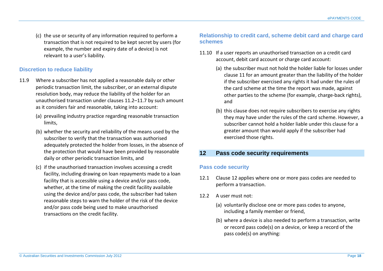(c) the use or security of any information required to perform a transaction that is not required to be kept secret by users (for example, the number and expiry date of a device) is not relevant to a user's liability.

#### **Discretion to reduce liability**

- 11.9 Where a subscriber has not applied a reasonable daily or other periodic transaction limit, the subscriber, or an external dispute resolution body, may reduce the liability of the holder for an unauthorised transaction under clauses 11.2–11.7 by such amount as it considers fair and reasonable, taking into account:
	- (a) prevailing industry practice regarding reasonable transaction limits,
	- (b) whether the security and reliability of the means used by the subscriber to verify that the transaction was authorised adequately protected the holder from losses, in the absence of the protection that would have been provided by reasonable daily or other periodic transaction limits, and
	- (c) if the unauthorised transaction involves accessing a credit facility, including drawing on loan repayments made to a loan facility that is accessible using a device and/or pass code, whether, at the time of making the credit facility available using the device and/or pass code, the subscriber had taken reasonable steps to warn the holder of the risk of the device and/or pass code being used to make unauthorised transactions on the credit facility.

# **Relationship to credit card, scheme debit card and charge card schemes**

- 11.10 If a user reports an unauthorised transaction on a credit card account, debit card account or charge card account:
	- (a) the subscriber must not hold the holder liable for losses under clause 11 for an amount greater than the liability of the holder if the subscriber exercised any rights it had under the rules of the card scheme at the time the report was made, against other parties to the scheme (for example, charge-back rights), and
	- (b) this clause does not require subscribers to exercise any rights they may have under the rules of the card scheme. However, a subscriber cannot hold a holder liable under this clause for a greater amount than would apply if the subscriber had exercised those rights.

# <span id="page-17-0"></span>**12 Pass code security requirements**

#### **Pass code security**

- 12.1 Clause 12 applies where one or more pass codes are needed to perform a transaction.
- 12.2 A user must not:
	- (a) voluntarily disclose one or more pass codes to anyone, including a family member or friend,
	- (b) where a device is also needed to perform a transaction, write or record pass code(s) on a device, or keep a record of the pass code(s) on anything: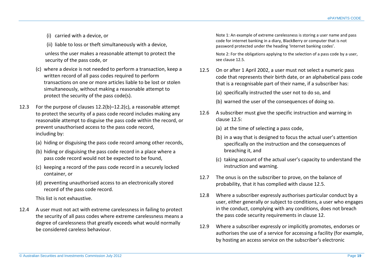- (i) carried with a device, or
- (ii) liable to loss or theft simultaneously with a device,

unless the user makes a reasonable attempt to protect the security of the pass code, or

- (c) where a device is not needed to perform a transaction, keep a written record of all pass codes required to perform transactions on one or more articles liable to be lost or stolen simultaneously, without making a reasonable attempt to protect the security of the pass code(s).
- 12.3 For the purpose of clauses 12.2(b)–12.2(c), a reasonable attempt to protect the security of a pass code record includes making any reasonable attempt to disguise the pass code within the record, or prevent unauthorised access to the pass code record, including by:
	- (a) hiding or disguising the pass code record among other records,
	- (b) hiding or disguising the pass code record in a place where a pass code record would not be expected to be found,
	- (c) keeping a record of the pass code record in a securely locked container, or
	- (d) preventing unauthorised access to an electronically stored record of the pass code record.

This list is not exhaustive.

12.4 A user must not act with extreme carelessness in failing to protect the security of all pass codes where extreme carelessness means a degree of carelessness that greatly exceeds what would normally be considered careless behaviour.

Note 1: An example of extreme carelessness is storing a user name and pass code for internet banking in a diary, BlackBerry or computer that is not password protected under the heading 'Internet banking codes'.

Note 2: For the obligations applying to the selection of a pass code by a user, see clause 12.5.

12.5 On or after 1 April 2002, a user must not select a numeric pass code that represents their birth date, or an alphabetical pass code that is a recognisable part of their name, if a subscriber has:

(a) specifically instructed the user not to do so, and

- (b) warned the user of the consequences of doing so.
- 12.6 A subscriber must give the specific instruction and warning in clause 12.5:
	- (a) at the time of selecting a pass code,
	- (b) in a way that is designed to focus the actual user's attention specifically on the instruction and the consequences of breaching it, and
	- (c) taking account of the actual user's capacity to understand the instruction and warning.
- 12.7 The onus is on the subscriber to prove, on the balance of probability, that it has complied with clause 12.5.
- 12.8 Where a subscriber expressly authorises particular conduct by a user, either generally or subject to conditions, a user who engages in the conduct, complying with any conditions, does not breach the pass code security requirements in clause 12.
- 12.9 Where a subscriber expressly or implicitly promotes, endorses or authorises the use of a service for accessing a facility (for example, by hosting an access service on the subscriber's electronic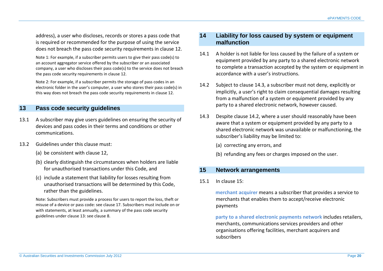address), a user who discloses, records or stores a pass code that is required or recommended for the purpose of using the service does not breach the pass code security requirements in clause 12.

Note 1: For example, if a subscriber permits users to give their pass code(s) to an account aggregator service offered by the subscriber or an associated company, a user who discloses their pass code(s) to the service does not breach the pass code security requirements in clause 12.

Note 2: For example, if a subscriber permits the storage of pass codes in an electronic folder in the user's computer, a user who stores their pass code(s) in this way does not breach the pass code security requirements in clause 12.

# <span id="page-19-0"></span>**13 Pass code security guidelines**

- 13.1 A subscriber may give users guidelines on ensuring the security of devices and pass codes in their terms and conditions or other communications.
- 13.2 Guidelines under this clause must:
	- (a) be consistent with clause 12,
	- (b) clearly distinguish the circumstances when holders are liable for unauthorised transactions under this Code, and
	- (c) include a statement that liability for losses resulting from unauthorised transactions will be determined by this Code, rather than the guidelines.

Note: Subscribers must provide a process for users to report the loss, theft or misuse of a device or pass code: see clause 17. Subscribers must include on or with statements, at least annually, a summary of the pass code security guidelines under clause 13: see clause 8.

#### <span id="page-19-1"></span>**14 Liability for loss caused by system or equipment malfunction**

- 14.1 A holder is not liable for loss caused by the failure of a system or equipment provided by any party to a shared electronic network to complete a transaction accepted by the system or equipment in accordance with a user's instructions.
- 14.2 Subject to clause 14.3, a subscriber must not deny, explicitly or implicitly, a user's right to claim consequential damages resulting from a malfunction of a system or equipment provided by any party to a shared electronic network, however caused.
- 14.3 Despite clause 14.2, where a user should reasonably have been aware that a system or equipment provided by any party to a shared electronic network was unavailable or malfunctioning, the subscriber's liability may be limited to:
	- (a) correcting any errors, and
	- (b) refunding any fees or charges imposed on the user.

# <span id="page-19-2"></span>**15 Network arrangements**

15.1 In clause 15:

**merchant acquirer** means a subscriber that provides a service to merchants that enables them to accept/receive electronic payments

**party to a shared electronic payments network** includes retailers, merchants, communications services providers and other organisations offering facilities, merchant acquirers and subscribers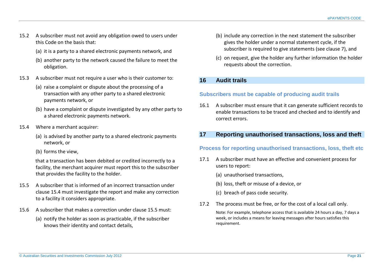- 15.2 A subscriber must not avoid any obligation owed to users under this Code on the basis that:
	- (a) it is a party to a shared electronic payments network, and
	- (b) another party to the network caused the failure to meet the obligation.
- 15.3 A subscriber must not require a user who is their customer to:
	- (a) raise a complaint or dispute about the processing of a transaction with any other party to a shared electronic payments network, or
	- (b) have a complaint or dispute investigated by any other party to a shared electronic payments network.
- 15.4 Where a merchant acquirer:
	- (a) is advised by another party to a shared electronic payments network, or
	- (b) forms the view,

that a transaction has been debited or credited incorrectly to a facility, the merchant acquirer must report this to the subscriber that provides the facility to the holder.

- 15.5 A subscriber that is informed of an incorrect transaction under clause 15.4 must investigate the report and make any correction to a facility it considers appropriate.
- 15.6 A subscriber that makes a correction under clause 15.5 must:
	- (a) notify the holder as soon as practicable, if the subscriber knows their identity and contact details,
- (b) include any correction in the next statement the subscriber gives the holder under a normal statement cycle, if the subscriber is required to give statements (see clause 7), and
- (c) on request, give the holder any further information the holder requests about the correction.

# <span id="page-20-0"></span>**16 Audit trails**

# **Subscribers must be capable of producing audit trails**

16.1 A subscriber must ensure that it can generate sufficient records to enable transactions to be traced and checked and to identify and correct errors.

# <span id="page-20-1"></span>**17 Reporting unauthorised transactions, loss and theft**

# **Process for reporting unauthorised transactions, loss, theft etc**

- 17.1 A subscriber must have an effective and convenient process for users to report:
	- (a) unauthorised transactions,
	- (b) loss, theft or misuse of a device, or
	- (c) breach of pass code security.
- 17.2 The process must be free, or for the cost of a local call only.

Note: For example, telephone access that is available 24 hours a day, 7 days a week, or includes a means for leaving messages after hours satisfies this requirement.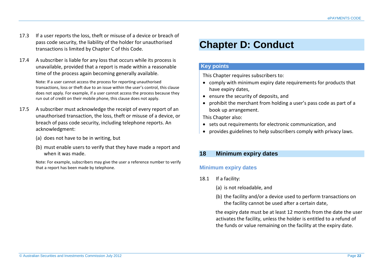- 17.3 If a user reports the loss, theft or misuse of a device or breach of pass code security, the liability of the holder for unauthorised transactions is limited by Chapter C of this Code.
- 17.4 A subscriber is liable for any loss that occurs while its process is unavailable, provided that a report is made within a reasonable time of the process again becoming generally available.

Note: If a user cannot access the process for reporting unauthorised transactions, loss or theft due to an issue within the user's control, this clause does not apply. For example, if a user cannot access the process because they run out of credit on their mobile phone, this clause does not apply.

- 17.5 A subscriber must acknowledge the receipt of every report of an unauthorised transaction, the loss, theft or misuse of a device, or breach of pass code security, including telephone reports. An acknowledgment:
	- (a) does not have to be in writing, but
	- (b) must enable users to verify that they have made a report and when it was made.

Note: For example, subscribers may give the user a reference number to verify that a report has been made by telephone.

# <span id="page-21-0"></span>**Chapter D: Conduct**

#### **Key points**

This Chapter requires subscribers to:

- comply with minimum expiry date requirements for products that have expiry dates,
- ensure the security of deposits, and
- prohibit the merchant from holding a user's pass code as part of a book up arrangement.

This Chapter also:

- sets out requirements for electronic communication, and
- provides guidelines to help subscribers comply with privacy laws.

# <span id="page-21-1"></span>**18 Minimum expiry dates**

# **Minimum expiry dates**

- 18.1 If a facility:
	- (a) is not reloadable, and
	- (b) the facility and/or a device used to perform transactions on the facility cannot be used after a certain date,

the expiry date must be at least 12 months from the date the user activates the facility, unless the holder is entitled to a refund of the funds or value remaining on the facility at the expiry date.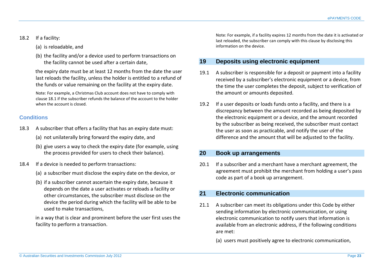#### 18.2 If a facility:

- (a) is reloadable, and
- (b) the facility and/or a device used to perform transactions on the facility cannot be used after a certain date,

the expiry date must be at least 12 months from the date the user last reloads the facility, unless the holder is entitled to a refund of the funds or value remaining on the facility at the expiry date.

Note: For example, a Christmas Club account does not have to comply with clause 18.1 if the subscriber refunds the balance of the account to the holder when the account is closed.

# **Conditions**

- 18.3 A subscriber that offers a facility that has an expiry date must:
	- (a) not unilaterally bring forward the expiry date, and
	- (b) give users a way to check the expiry date (for example, using the process provided for users to check their balance).
- 18.4 If a device is needed to perform transactions:
	- (a) a subscriber must disclose the expiry date on the device, or
	- (b) if a subscriber cannot ascertain the expiry date, because it depends on the date a user activates or reloads a facility or other circumstances, the subscriber must disclose on the device the period during which the facility will be able to be used to make transactions,

in a way that is clear and prominent before the user first uses the facility to perform a transaction.

Note: For example, if a facility expires 12 months from the date it is activated or last reloaded, the subscriber can comply with this clause by disclosing this information on the device.

# <span id="page-22-0"></span>**19 Deposits using electronic equipment**

- 19.1 A subscriber is responsible for a deposit or payment into a facility received by a subscriber's electronic equipment or a device, from the time the user completes the deposit, subject to verification of the amount or amounts deposited.
- 19.2 If a user deposits or loads funds onto a facility, and there is a discrepancy between the amount recorded as being deposited by the electronic equipment or a device, and the amount recorded by the subscriber as being received, the subscriber must contact the user as soon as practicable, and notify the user of the difference and the amount that will be adjusted to the facility.

# <span id="page-22-1"></span>**20 Book up arrangements**

20.1 If a subscriber and a merchant have a merchant agreement, the agreement must prohibit the merchant from holding a user's pass code as part of a book up arrangement.

# <span id="page-22-2"></span>**21 Electronic communication**

- 21.1 A subscriber can meet its obligations under this Code by either sending information by electronic communication, or using electronic communication to notify users that information is available from an electronic address, if the following conditions are met:
	- (a) users must positively agree to electronic communication,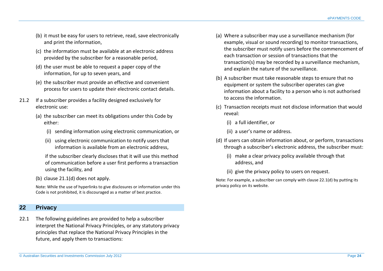- (b) it must be easy for users to retrieve, read, save electronically and print the information,
- (c) the information must be available at an electronic address provided by the subscriber for a reasonable period,
- (d) the user must be able to request a paper copy of the information, for up to seven years, and
- (e) the subscriber must provide an effective and convenient process for users to update their electronic contact details.
- 21.2 If a subscriber provides a facility designed exclusively for electronic use:
	- (a) the subscriber can meet its obligations under this Code by either:
		- (i) sending information using electronic communication, or
		- (ii) using electronic communication to notify users that information is available from an electronic address,

if the subscriber clearly discloses that it will use this method of communication before a user first performs a transaction using the facility, and

(b) clause 21.1(d) does not apply.

Note: While the use of hyperlinks to give disclosures or information under this Code is not prohibited, it is discouraged as a matter of best practice.

# <span id="page-23-0"></span>**22 Privacy**

22.1 The following guidelines are provided to help a subscriber interpret the National Privacy Principles, or any statutory privacy principles that replace the National Privacy Principles in the future, and apply them to transactions:

- (a) Where a subscriber may use a surveillance mechanism (for example, visual or sound recording) to monitor transactions, the subscriber must notify users before the commencement of each transaction or session of transactions that the transaction(s) may be recorded by a surveillance mechanism, and explain the nature of the surveillance.
- (b) A subscriber must take reasonable steps to ensure that no equipment or system the subscriber operates can give information about a facility to a person who is not authorised to access the information.
- (c) Transaction receipts must not disclose information that would reveal:
	- (i) a full identifier, or
	- (ii) a user's name or address.
- (d) If users can obtain information about, or perform, transactions through a subscriber's electronic address, the subscriber must:
	- (i) make a clear privacy policy available through that address, and
	- (ii) give the privacy policy to users on request.

Note: For example, a subscriber can comply with clause 22.1(d) by putting its privacy policy on its website.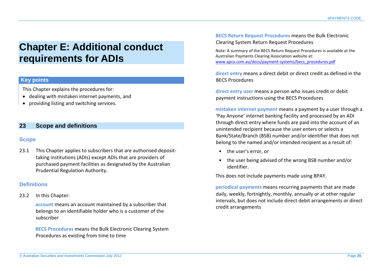# <span id="page-24-0"></span>**Chapter E: Additional conduct requirements for ADIs**

#### **Key points**

This Chapter explains the procedures for:

- dealing with mistaken internet payments, and
- providing listing and switching services.

# <span id="page-24-1"></span>**23 Scope and definitions**

#### **Scope**

23.1 This Chapter applies to subscribers that are authorised deposittaking institutions (ADIs) except ADIs that are providers of purchased payment facilities as designated by the Australian Prudential Regulation Authority.

# **Definitions**

23.2 In this Chapter:

**account** means an account maintained by a subscriber that belongs to an identifiable holder who is a customer of the subscriber

**BECS Procedures** means the Bulk Electronic Clearing System Procedures as existing from time to time

**BECS Return Request Procedures** means the Bulk Electronic Clearing System Return Request Procedures

Note: A summary of the BECS Return Request Procedures is available at the Australian Payments Clearing Association website at: [www.apca.com.au/docs/payment-systems/becs\\_procedures.pdf](http://www.apca.com.au/docs/payment-systems/becs_procedures.pdf)

**direct entry** means a direct debit or direct credit as defined in the BECS Procedures

**direct entry user** means a person who issues credit or debit payment instructions using the BECS Procedures

**mistaken internet payment** means a payment by a user through a 'Pay Anyone' internet banking facility and processed by an ADI through direct entry where funds are paid into the account of an unintended recipient because the user enters or selects a Bank/State/Branch (BSB) number and/or identifier that does not belong to the named and/or intended recipient as a result of:

- the user's error, or
- the user being advised of the wrong BSB number and/or identifier.

This does not include payments made using BPAY.

**periodical payments** means recurring payments that are made daily, weekly, fortnightly, monthly, annually or at other regular intervals, but does not include direct debit arrangements or direct credit arrangements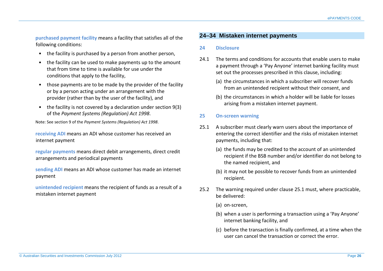**purchased payment facility** means a facility that satisfies all of the following conditions:

- the facility is purchased by a person from another person,
- the facility can be used to make payments up to the amount that from time to time is available for use under the conditions that apply to the facility,
- those payments are to be made by the provider of the facility or by a person acting under an arrangement with the provider (rather than by the user of the facility), and
- the facility is not covered by a declaration under section 9(3) of the *Payment Systems (Regulation) Act 1998*.

Note: See section 9 of the *Payment Systems (Regulation) Act 1998*.

**receiving ADI** means an ADI whose customer has received an internet payment

**regular payments** means direct debit arrangements, direct credit arrangements and periodical payments

**sending ADI** means an ADI whose customer has made an internet payment

**unintended recipient** means the recipient of funds as a result of a mistaken internet payment

# <span id="page-25-0"></span>**24–34 Mistaken internet payments**

#### <span id="page-25-1"></span>**24 Disclosure**

- 24.1 The terms and conditions for accounts that enable users to make a payment through a 'Pay Anyone' internet banking facility must set out the processes prescribed in this clause, including:
	- (a) the circumstances in which a subscriber will recover funds from an unintended recipient without their consent, and
	- (b) the circumstances in which a holder will be liable for losses arising from a mistaken internet payment.

#### <span id="page-25-2"></span>**25 On-screen warning**

- 25.1 A subscriber must clearly warn users about the importance of entering the correct identifier and the risks of mistaken internet payments, including that:
	- (a) the funds may be credited to the account of an unintended recipient if the BSB number and/or identifier do not belong to the named recipient, and
	- (b) it may not be possible to recover funds from an unintended recipient.
- 25.2 The warning required under clause 25.1 must, where practicable, be delivered:
	- (a) on-screen,
	- (b) when a user is performing a transaction using a 'Pay Anyone' internet banking facility, and
	- (c) before the transaction is finally confirmed, at a time when the user can cancel the transaction or correct the error.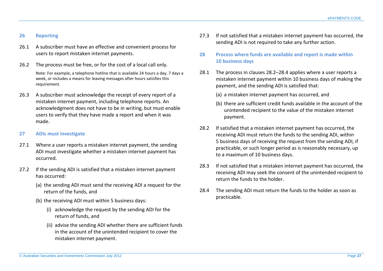#### <span id="page-26-0"></span>**26 Reporting**

- 26.1 A subscriber must have an effective and convenient process for users to report mistaken internet payments.
- 26.2 The process must be free, or for the cost of a local call only. Note: For example, a telephone hotline that is available 24 hours a day, 7 days a week, or includes a means for leaving messages after hours satisfies this requirement.
- 26.3 A subscriber must acknowledge the receipt of every report of a mistaken internet payment, including telephone reports. An acknowledgment does not have to be in writing, but must enable users to verify that they have made a report and when it was made.

#### <span id="page-26-1"></span>**27 ADIs must investigate**

- 27.1 Where a user reports a mistaken internet payment, the sending ADI must investigate whether a mistaken internet payment has occurred.
- 27.2 If the sending ADI is satisfied that a mistaken internet payment has occurred:
	- (a) the sending ADI must send the receiving ADI a request for the return of the funds, and
	- (b) the receiving ADI must within 5 business days:
		- (i) acknowledge the request by the sending ADI for the return of funds, and
		- (ii) advise the sending ADI whether there are sufficient funds in the account of the unintended recipient to cover the mistaken internet payment.
- 27.3 If not satisfied that a mistaken internet payment has occurred, the sending ADI is not required to take any further action.
- <span id="page-26-2"></span>**28 Process where funds are available and report is made within 10 business days**
- 28.1 The process in clauses 28.2–28.4 applies where a user reports a mistaken internet payment within 10 business days of making the payment, and the sending ADI is satisfied that:
	- (a) a mistaken internet payment has occurred, and
	- (b) there are sufficient credit funds available in the account of the unintended recipient to the value of the mistaken internet payment.
- 28.2 If satisfied that a mistaken internet payment has occurred, the receiving ADI must return the funds to the sending ADI, within 5 business days of receiving the request from the sending ADI, if practicable, or such longer period as is reasonably necessary, up to a maximum of 10 business days.
- 28.3 If not satisfied that a mistaken internet payment has occurred, the receiving ADI may seek the consent of the unintended recipient to return the funds to the holder.
- 28.4 The sending ADI must return the funds to the holder as soon as practicable.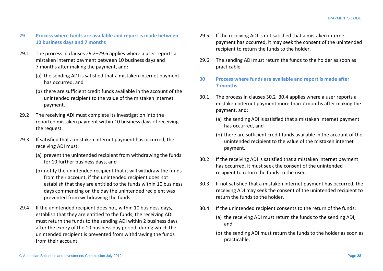## <span id="page-27-0"></span>**29 Process where funds are available and report is made between 10 business days and 7 months**

- 29.1 The process in clauses 29.2–29.6 applies where a user reports a mistaken internet payment between 10 business days and 7 months after making the payment, and:
	- (a) the sending ADI is satisfied that a mistaken internet payment has occurred, and
	- (b) there are sufficient credit funds available in the account of the unintended recipient to the value of the mistaken internet payment.
- 29.2 The receiving ADI must complete its investigation into the reported mistaken payment within 10 business days of receiving the request.
- 29.3 If satisfied that a mistaken internet payment has occurred, the receiving ADI must:
	- (a) prevent the unintended recipient from withdrawing the funds for 10 further business days, and
	- (b) notify the unintended recipient that it will withdraw the funds from their account, if the unintended recipient does not establish that they are entitled to the funds within 10 business days commencing on the day the unintended recipient was prevented from withdrawing the funds.
- 29.4 If the unintended recipient does not, within 10 business days, establish that they are entitled to the funds, the receiving ADI must return the funds to the sending ADI within 2 business days after the expiry of the 10 business day period, during which the unintended recipient is prevented from withdrawing the funds from their account.
- 29.5 If the receiving ADI is not satisfied that a mistaken internet payment has occurred, it may seek the consent of the unintended recipient to return the funds to the holder.
- 29.6 The sending ADI must return the funds to the holder as soon as practicable.
- <span id="page-27-1"></span>**30 Process where funds are available and report is made after 7 months**
- 30.1 The process in clauses 30.2–30.4 applies where a user reports a mistaken internet payment more than 7 months after making the payment, and:
	- (a) the sending ADI is satisfied that a mistaken internet payment has occurred, and
	- (b) there are sufficient credit funds available in the account of the unintended recipient to the value of the mistaken internet payment.
- 30.2 If the receiving ADI is satisfied that a mistaken internet payment has occurred, it must seek the consent of the unintended recipient to return the funds to the user.
- 30.3 If not satisfied that a mistaken internet payment has occurred, the receiving ADI may seek the consent of the unintended recipient to return the funds to the holder.
- 30.4 If the unintended recipient consents to the return of the funds:
	- (a) the receiving ADI must return the funds to the sending ADI, and
	- (b) the sending ADI must return the funds to the holder as soon as practicable.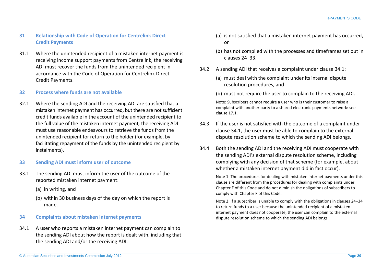#### <span id="page-28-0"></span>**31 Relationship with Code of Operation for Centrelink Direct Credit Payments**

31.1 Where the unintended recipient of a mistaken internet payment is receiving income support payments from Centrelink, the receiving ADI must recover the funds from the unintended recipient in accordance with the Code of Operation for Centrelink Direct Credit Payments.

#### <span id="page-28-1"></span>**32 Process where funds are not available**

32.1 Where the sending ADI and the receiving ADI are satisfied that a mistaken internet payment has occurred, but there are not sufficient credit funds available in the account of the unintended recipient to the full value of the mistaken internet payment*,* the receiving ADI must use reasonable endeavours to retrieve the funds from the unintended recipient for return to the holder (for example, by facilitating repayment of the funds by the unintended recipient by instalments).

#### <span id="page-28-2"></span>**33 Sending ADI must inform user of outcome**

- 33.1 The sending ADI must inform the user of the outcome of the reported mistaken internet payment:
	- (a) in writing, and
	- (b) within 30 business days of the day on which the report is made.

#### <span id="page-28-3"></span>**34 Complaints about mistaken internet payments**

34.1 A user who reports a mistaken internet payment can complain to the sending ADI about how the report is dealt with, including that the sending ADI and/or the receiving ADI:

- (a) is not satisfied that a mistaken internet payment has occurred, or
- (b) has not complied with the processes and timeframes set out in clauses 24–33.
- 34.2 A sending ADI that receives a complaint under clause 34.1:
	- (a) must deal with the complaint under its internal dispute resolution procedures, and
	- (b) must not require the user to complain to the receiving ADI.

Note: Subscribers cannot require a user who is their customer to raise a complaint with another party to a shared electronic payments network: see clause 17.1.

- 34.3 If the user is not satisfied with the outcome of a complaint under clause 34.1, the user must be able to complain to the external dispute resolution scheme to which the sending ADI belongs.
- 34.4 Both the sending ADI and the receiving ADI must cooperate with the sending ADI's external dispute resolution scheme, including complying with any decision of that scheme (for example, about whether a mistaken internet payment did in fact occur).

Note 1: The procedures for dealing with mistaken internet payments under this clause are different from the procedures for dealing with complaints under Chapter F of this Code and do not diminish the obligations of subscribers to comply with Chapter F of this Code.

Note 2: If a subscriber is unable to comply with the obligations in clauses 24–34 to return funds to a user because the unintended recipient of a mistaken internet payment does not cooperate, the user can complain to the external dispute resolution scheme to which the sending ADI belongs.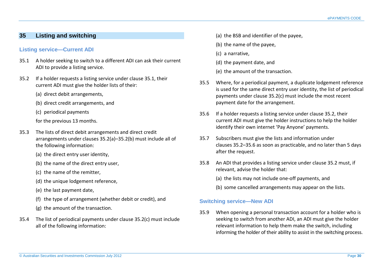# <span id="page-29-0"></span>**35 Listing and switching**

#### **Listing service—Current ADI**

- 35.1 A holder seeking to switch to a different ADI can ask their current ADI to provide a listing service.
- 35.2 If a holder requests a listing service under clause 35.1, their current ADI must give the holder lists of their:
	- (a) direct debit arrangements,
	- (b) direct credit arrangements, and
	- (c) periodical payments
	- for the previous 13 months.
- 35.3 The lists of direct debit arrangements and direct credit arrangements under clauses 35.2(a)–35.2(b) must include all of the following information:
	- (a) the direct entry user identity,
	- (b) the name of the direct entry user,
	- (c) the name of the remitter,
	- (d) the unique lodgement reference,
	- (e) the last payment date,
	- (f) the type of arrangement (whether debit or credit), and
	- (g) the amount of the transaction.
- 35.4 The list of periodical payments under clause 35.2(c) must include all of the following information:
- (a) the BSB and identifier of the payee,
- (b) the name of the payee,
- (c) a narrative,
- (d) the payment date, and
- (e) the amount of the transaction.
- 35.5 Where, for a periodical payment, a duplicate lodgement reference is used for the same direct entry user identity, the list of periodical payments under clause 35.2(c) must include the most recent payment date for the arrangement.
- 35.6 If a holder requests a listing service under clause 35.2, their current ADI must give the holder instructions to help the holder identify their own internet 'Pay Anyone' payments.
- 35.7 Subscribers must give the lists and information under clauses 35.2–35.6 as soon as practicable, and no later than 5 days after the request.
- 35.8 An ADI that provides a listing service under clause 35.2 must, if relevant, advise the holder that:
	- (a) the lists may not include one-off payments, and
	- (b) some cancelled arrangements may appear on the lists.

# **Switching service—New ADI**

35.9 When opening a personal transaction account for a holder who is seeking to switch from another ADI, an ADI must give the holder relevant information to help them make the switch, including informing the holder of their ability to assist in the switching process.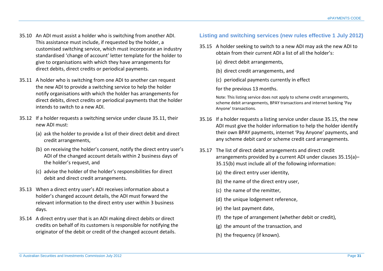- 35.10 An ADI must assist a holder who is switching from another ADI. This assistance must include, if requested by the holder, a customised switching service, which must incorporate an industry standardised 'change of account' letter template for the holder to give to organisations with which they have arrangements for direct debits, direct credits or periodical payments.
- 35.11 A holder who is switching from one ADI to another can request the new ADI to provide a switching service to help the holder notify organisations with which the holder has arrangements for direct debits, direct credits or periodical payments that the holder intends to switch to a new ADI.
- 35.12 If a holder requests a switching service under clause 35.11, their new ADI must:
	- (a) ask the holder to provide a list of their direct debit and direct credit arrangements,
	- (b) on receiving the holder's consent, notify the direct entry user's ADI of the changed account details within 2 business days of the holder's request, and
	- (c) advise the holder of the holder's responsibilities for direct debit and direct credit arrangements.
- 35.13 When a direct entry user's ADI receives information about a holder's changed account details, the ADI must forward the relevant information to the direct entry user within 3 business days.
- 35.14 A direct entry user that is an ADI making direct debits or direct credits on behalf of its customers is responsible for notifying the originator of the debit or credit of the changed account details.

# **Listing and switching services (new rules effective 1 July 2012)**

- 35.15 A holder seeking to switch to a new ADI may ask the new ADI to obtain from their current ADI a list of all the holder's:
	- (a) direct debit arrangements,
	- (b) direct credit arrangements, and
	- (c) periodical payments currently in effect
	- for the previous 13 months.

Note: This listing service does not apply to scheme credit arrangements, scheme debit arrangements, BPAY transactions and internet banking 'Pay Anyone' transactions.

- 35.16 If a holder requests a listing service under clause 35.15, the new ADI must give the holder information to help the holder identify their own BPAY payments, internet 'Pay Anyone' payments, and any scheme debit card or scheme credit card arrangements.
- 35.17 The list of direct debit arrangements and direct credit arrangements provided by a current ADI under clauses 35.15(a)– 35.15(b) must include all of the following information:
	- (a) the direct entry user identity,
	- (b) the name of the direct entry user,
	- (c) the name of the remitter,
	- (d) the unique lodgement reference.
	- (e) the last payment date,
	- (f) the type of arrangement (whether debit or credit),
	- (g) the amount of the transaction, and
	- (h) the frequency (if known).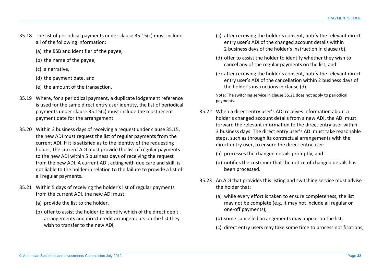- 35.18 The list of periodical payments under clause 35.15(c) must include all of the following information:
	- (a) the BSB and identifier of the payee,
	- (b) the name of the payee,
	- (c) a narrative,
	- (d) the payment date, and
	- (e) the amount of the transaction.
- 35.19 Where, for a periodical payment, a duplicate lodgement reference is used for the same direct entry user identity, the list of periodical payments under clause 35.15(c) must include the most recent payment date for the arrangement.
- 35.20 Within 3 business days of receiving a request under clause 35.15, the new ADI must request the list of regular payments from the current ADI. If it is satisfied as to the identity of the requesting holder, the current ADI must provide the list of regular payments to the new ADI within 5 business days of receiving the request from the new ADI. A current ADI, acting with due care and skill, is not liable to the holder in relation to the failure to provide a list of all regular payments.
- 35.21 Within 5 days of receiving the holder's list of regular payments from the current ADI, the new ADI must:
	- (a) provide the list to the holder,
	- (b) offer to assist the holder to identify which of the direct debit arrangements and direct credit arrangements on the list they wish to transfer to the new ADI,
- (c) after receiving the holder's consent, notify the relevant direct entry user's ADI of the changed account details within 2 business days of the holder's instruction in clause (b),
- (d) offer to assist the holder to identify whether they wish to cancel any of the regular payments on the list, and
- (e) after receiving the holder's consent, notify the relevant direct entry user's ADI of the cancellation within 2 business days of the holder's instructions in clause (d).

Note: The switching service in clause 35.21 does not apply to periodical payments.

- 35.22 When a direct entry user's ADI receives information about a holder's changed account details from a new ADI, the ADI must forward the relevant information to the direct entry user within 3 business days. The direct entry user's ADI must take reasonable steps, such as through its contractual arrangements with the direct entry user, to ensure the direct entry user:
	- (a) processes the changed details promptly, and
	- (b) notifies the customer that the notice of changed details has been processed.
- 35.23 An ADI that provides this listing and switching service must advise the holder that:
	- (a) while every effort is taken to ensure completeness, the list may not be complete (e.g. it may not include all regular or one-off payments),
	- (b) some cancelled arrangements may appear on the list,
	- (c) direct entry users may take some time to process notifications,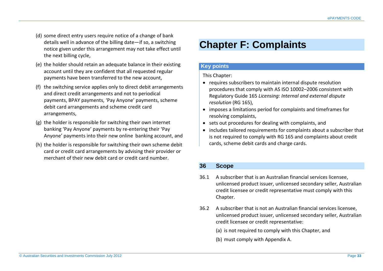- (d) some direct entry users require notice of a change of bank details well in advance of the billing date—if so, a switching notice given under this arrangement may not take effect until the next billing cycle,
- (e) the holder should retain an adequate balance in their existing account until they are confident that all requested regular payments have been transferred to the new account,
- (f) the switching service applies only to direct debit arrangements and direct credit arrangements and not to periodical payments, BPAY payments, 'Pay Anyone' payments, scheme debit card arrangements and scheme credit card arrangements,
- (g) the holder is responsible for switching their own internet banking 'Pay Anyone' payments by re-entering their 'Pay Anyone' payments into their new online banking account, and
- (h) the holder is responsible for switching their own scheme debit card or credit card arrangements by advising their provider or merchant of their new debit card or credit card number.

# <span id="page-32-0"></span>**Chapter F: Complaints**

#### **Key points**

This Chapter:

- requires subscribers to maintain internal dispute resolution procedures that comply with AS ISO 10002–2006 consistent with Regulatory Guide 165 *Licensing: Internal and external dispute resolution* (RG 165),
- imposes a limitations period for complaints and timeframes for resolving complaints,
- sets out procedures for dealing with complaints, and
- includes tailored requirements for complaints about a subscriber that is not required to comply with RG 165 and complaints about credit cards, scheme debit cards and charge cards.

# <span id="page-32-1"></span>**36 Scope**

- 36.1 A subscriber that is an Australian financial services licensee, unlicensed product issuer, unlicensed secondary seller, Australian credit licensee or credit representative must comply with this Chapter.
- 36.2 A subscriber that is not an Australian financial services licensee, unlicensed product issuer, unlicensed secondary seller, Australian credit licensee or credit representative:
	- (a) is not required to comply with this Chapter, and
	- (b) must comply with Appendix A.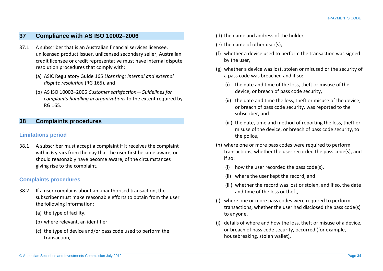# <span id="page-33-0"></span>**37 Compliance with AS ISO 10002–2006**

- 37.1 A subscriber that is an Australian financial services licensee, unlicensed product issuer, unlicensed secondary seller, Australian credit licensee or credit representative must have internal dispute resolution procedures that comply with:
	- (a) ASIC Regulatory Guide 165 *Licensing: Internal and external dispute resolution* (RG 165), and
	- (b) AS ISO 10002–2006 *Customer satisfaction—Guidelines for complaints handling in organizations* to the extent required by RG 165.

#### <span id="page-33-1"></span>**38 Complaints procedures**

#### **Limitations period**

38.1 A subscriber must accept a complaint if it receives the complaint within 6 years from the day that the user first became aware, or should reasonably have become aware, of the circumstances giving rise to the complaint.

# **Complaints procedures**

- 38.2 If a user complains about an unauthorised transaction, the subscriber must make reasonable efforts to obtain from the user the following information:
	- (a) the type of facility,
	- (b) where relevant, an identifier,
	- (c) the type of device and/or pass code used to perform the transaction,
- (d) the name and address of the holder,
- (e) the name of other user(s),
- (f) whether a device used to perform the transaction was signed by the user,
- (g) whether a device was lost, stolen or misused or the security of a pass code was breached and if so:
	- (i) the date and time of the loss, theft or misuse of the device, or breach of pass code security,
	- (ii) the date and time the loss, theft or misuse of the device, or breach of pass code security, was reported to the subscriber, and
	- (iii) the date, time and method of reporting the loss, theft or misuse of the device, or breach of pass code security, to the police,
- (h) where one or more pass codes were required to perform transactions, whether the user recorded the pass code(s), and if so:
	- (i) how the user recorded the pass code(s),
	- (ii) where the user kept the record, and
	- (iii) whether the record was lost or stolen, and if so, the date and time of the loss or theft,
- (i) where one or more pass codes were required to perform transactions, whether the user had disclosed the pass code(s) to anyone,
- (j) details of where and how the loss, theft or misuse of a device, or breach of pass code security, occurred (for example, housebreaking, stolen wallet),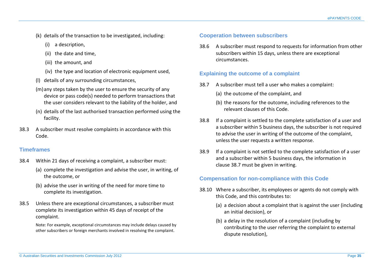- (k) details of the transaction to be investigated, including:
	- (i) a description,
	- (ii) the date and time,
	- (iii) the amount, and
	- (iv) the type and location of electronic equipment used.
- (l) details of any surrounding circumstances,
- (m)any steps taken by the user to ensure the security of any device or pass code(s) needed to perform transactions that the user considers relevant to the liability of the holder, and
- (n) details of the last authorised transaction performed using the facility.
- 38.3 A subscriber must resolve complaints in accordance with this Code.

# **Timeframes**

- 38.4 Within 21 days of receiving a complaint, a subscriber must:
	- (a) complete the investigation and advise the user, in writing, of the outcome, or
	- (b) advise the user in writing of the need for more time to complete its investigation.
- 38.5 Unless there are exceptional circumstances, a subscriber must complete its investigation within 45 days of receipt of the complaint.

Note: For example, exceptional circumstances may include delays caused by other subscribers or foreign merchants involved in resolving the complaint.

# **Cooperation between subscribers**

38.6 A subscriber must respond to requests for information from other subscribers within 15 days, unless there are exceptional circumstances.

# **Explaining the outcome of a complaint**

- 38.7 A subscriber must tell a user who makes a complaint:
	- (a) the outcome of the complaint, and
	- (b) the reasons for the outcome, including references to the relevant clauses of this Code.
- 38.8 If a complaint is settled to the complete satisfaction of a user and a subscriber within 5 business days, the subscriber is not required to advise the user in writing of the outcome of the complaint, unless the user requests a written response.
- 38.9 If a complaint is not settled to the complete satisfaction of a user and a subscriber within 5 business days, the information in clause 38.7 must be given in writing.

# **Compensation for non-compliance with this Code**

- 38.10 Where a subscriber, its employees or agents do not comply with this Code, and this contributes to:
	- (a) a decision about a complaint that is against the user (including an initial decision), or
	- (b) a delay in the resolution of a complaint (including by contributing to the user referring the complaint to external dispute resolution),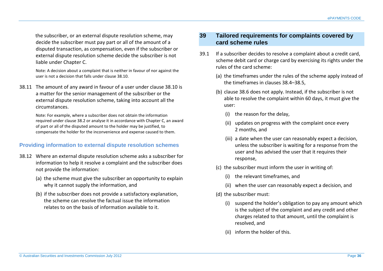the subscriber, or an external dispute resolution scheme, may decide the subscriber must pay part or all of the amount of a disputed transaction, as compensation, even if the subscriber or external dispute resolution scheme decide the subscriber is not liable under Chapter C.

Note: A decision about a complaint that is neither in favour of nor against the user is not a decision that falls under clause 38.10.

38.11 The amount of any award in favour of a user under clause 38.10 is a matter for the senior management of the subscriber or the external dispute resolution scheme, taking into account all the circumstances.

> Note: For example, where a subscriber does not obtain the information required under clause 38.2 or analyse it in accordance with Chapter C, an award of part or all of the disputed amount to the holder may be justified, to compensate the holder for the inconvenience and expense caused to them.

# **Providing information to external dispute resolution schemes**

- 38.12 Where an external dispute resolution scheme asks a subscriber for information to help it resolve a complaint and the subscriber does not provide the information:
	- (a) the scheme must give the subscriber an opportunity to explain why it cannot supply the information, and
	- (b) if the subscriber does not provide a satisfactory explanation, the scheme can resolve the factual issue the information relates to on the basis of information available to it.

# <span id="page-35-0"></span>**39 Tailored requirements for complaints covered by card scheme rules**

- 39.1 If a subscriber decides to resolve a complaint about a credit card, scheme debit card or charge card by exercising its rights under the rules of the card scheme:
	- (a) the timeframes under the rules of the scheme apply instead of the timeframes in clauses 38.4–38.5,
	- (b) clause 38.6 does not apply. Instead, if the subscriber is not able to resolve the complaint within 60 days, it must give the user:
		- (i) the reason for the delay,
		- (ii) updates on progress with the complaint once every 2 months, and
		- (iii) a date when the user can reasonably expect a decision, unless the subscriber is waiting for a response from the user and has advised the user that it requires their response,
	- (c) the subscriber must inform the user in writing of:
		- (i) the relevant timeframes, and
		- (ii) when the user can reasonably expect a decision, and
	- (d) the subscriber must:
		- (i) suspend the holder's obligation to pay any amount which is the subject of the complaint and any credit and other charges related to that amount, until the complaint is resolved, and
		- (ii) inform the holder of this.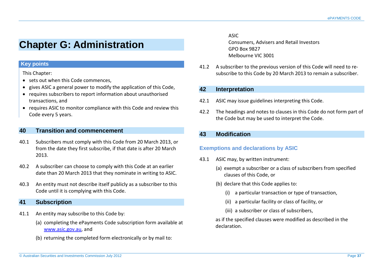# <span id="page-36-0"></span>**Chapter G: Administration**

# **Key points**

#### This Chapter:

- sets out when this Code commences,
- gives ASIC a general power to modify the application of this Code,
- requires subscribers to report information about unauthorised transactions, and
- requires ASIC to monitor compliance with this Code and review this Code every 5 years.

# <span id="page-36-1"></span>**40 Transition and commencement**

- 40.1 Subscribers must comply with this Code from 20 March 2013, or from the date they first subscribe, if that date is after 20 March 2013.
- 40.2 A subscriber can choose to comply with this Code at an earlier date than 20 March 2013 that they nominate in writing to ASIC.
- 40.3 An entity must not describe itself publicly as a subscriber to this Code until it is complying with this Code.

# <span id="page-36-2"></span>**41 Subscription**

- 41.1 An entity may subscribe to this Code by:
	- (a) completing the ePayments Code subscription form available at [www.asic.gov.au,](http://www.asic.gov.au/) and
	- (b) returning the completed form electronically or by mail to:

ASIC Consumers, Advisers and Retail Investors GPO Box 9827 Melbourne VIC 3001

41.2 A subscriber to the previous version of this Code will need to resubscribe to this Code by 20 March 2013 to remain a subscriber.

# <span id="page-36-3"></span>**42 Interpretation**

- 42.1 ASIC may issue guidelines interpreting this Code.
- 42.2 The headings and notes to clauses in this Code do not form part of the Code but may be used to interpret the Code.

# <span id="page-36-4"></span>**43 Modification**

# **Exemptions and declarations by ASIC**

- 43.1 ASIC may, by written instrument:
	- (a) exempt a subscriber or a class of subscribers from specified clauses of this Code, or
	- (b) declare that this Code applies to:
		- (i) a particular transaction or type of transaction,
		- (ii) a particular facility or class of facility, or
		- (iii) a subscriber or class of subscribers,

as if the specified clauses were modified as described in the declaration.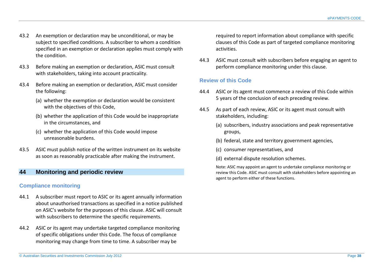- 43.2 An exemption or declaration may be unconditional, or may be subject to specified conditions. A subscriber to whom a condition specified in an exemption or declaration applies must comply with the condition.
- 43.3 Before making an exemption or declaration, ASIC must consult with stakeholders, taking into account practicality.
- 43.4 Before making an exemption or declaration, ASIC must consider the following:
	- (a) whether the exemption or declaration would be consistent with the objectives of this Code,
	- (b) whether the application of this Code would be inappropriate in the circumstances, and
	- (c) whether the application of this Code would impose unreasonable burdens.
- 43.5 ASIC must publish notice of the written instrument on its website as soon as reasonably practicable after making the instrument.

# <span id="page-37-0"></span>**44 Monitoring and periodic review**

# **Compliance monitoring**

- 44.1 A subscriber must report to ASIC or its agent annually information about unauthorised transactions as specified in a notice published on ASIC's website for the purposes of this clause. ASIC will consult with subscribers to determine the specific requirements.
- 44.2 ASIC or its agent may undertake targeted compliance monitoring of specific obligations under this Code. The focus of compliance monitoring may change from time to time. A subscriber may be

required to report information about compliance with specific clauses of this Code as part of targeted compliance monitoring activities.

44.3 ASIC must consult with subscribers before engaging an agent to perform compliance monitoring under this clause.

# **Review of this Code**

- 44.4 ASIC or its agent must commence a review of this Code within 5 years of the conclusion of each preceding review.
- 44.5 As part of each review, ASIC or its agent must consult with stakeholders, including:
	- (a) subscribers, industry associations and peak representative groups,
	- (b) federal, state and territory government agencies,
	- (c) consumer representatives, and
	- (d) external dispute resolution schemes.

Note: ASIC may appoint an agent to undertake compliance monitoring or review this Code. ASIC must consult with stakeholders before appointing an agent to perform either of these functions.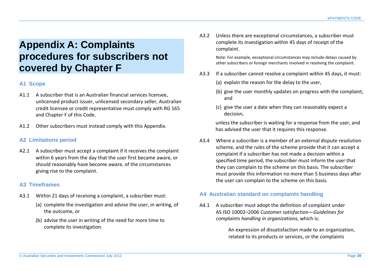# <span id="page-38-0"></span>**Appendix A: Complaints procedures for subscribers not covered by Chapter F**

# **A1 Scope**

- A1.1 A subscriber that is an Australian financial services licensee, unlicensed product issuer, unlicensed secondary seller, Australian credit licensee or credit representative must comply with RG 165 and Chapter F of this Code.
- A1.2 Other subscribers must instead comply with this Appendix.

# **A2 Limitations period**

A2.1 A subscriber must accept a complaint if it receives the complaint within 6 years from the day that the user first became aware, or should reasonably have become aware, of the circumstances giving rise to the complaint.

# **A3 Timeframes**

- A3.1 Within 21 days of receiving a complaint, a subscriber must:
	- (a) complete the investigation and advise the user, in writing, of the outcome, or
	- (b) advise the user in writing of the need for more time to complete its investigation.

A3.2 Unless there are exceptional circumstances, a subscriber must complete its investigation within 45 days of receipt of the complaint.

> Note: For example, exceptional circumstances may include delays caused by other subscribers or foreign merchants involved in resolving the complaint.

- A3.3 If a subscriber cannot resolve a complaint within 45 days, it must:
	- (a) explain the reason for the delay to the user,
	- (b) give the user monthly updates on progress with the complaint, and
	- (c) give the user a date when they can reasonably expect a decision,

unless the subscriber is waiting for a response from the user, and has advised the user that it requires this response.

A3.4 Where a subscriber is a member of an external dispute resolution scheme, and the rules of the scheme provide that it can accept a complaint if a subscriber has not made a decision within a specified time period, the subscriber must inform the user that they can complain to the scheme on this basis. The subscriber must provide this information no more than 5 business days after the user can complain to the scheme on this basis.

#### **A4 Australian standard on complaints handling**

A4.1 A subscriber must adopt the definition of complaint under AS ISO 10002–2006 *Customer satisfaction—Guidelines for complaints handling in organizations*, which is:

> An expression of dissatisfaction made to an organization, related to its products or services, or the complaints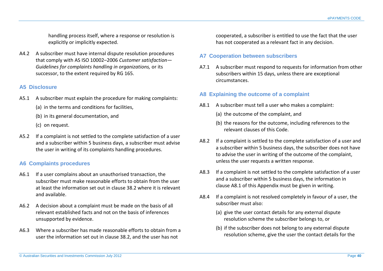handling process itself, where a response or resolution is explicitly or implicitly expected.

A4.2 A subscriber must have internal dispute resolution procedures that comply with AS ISO 10002–2006 *Customer satisfaction— Guidelines for complaints handling in organizations,* or its successor, to the extent required by RG 165.

#### **A5 Disclosure**

- A5.1 A subscriber must explain the procedure for making complaints:
	- (a) in the terms and conditions for facilities,
	- (b) in its general documentation, and
	- (c) on request.
- A5.2 If a complaint is not settled to the complete satisfaction of a user and a subscriber within 5 business days, a subscriber must advise the user in writing of its complaints handling procedures.

# **A6 Complaints procedures**

- A6.1 If a user complains about an unauthorised transaction, the subscriber must make reasonable efforts to obtain from the user at least the information set out in clause 38.2 where it is relevant and available.
- A6.2 A decision about a complaint must be made on the basis of all relevant established facts and not on the basis of inferences unsupported by evidence.
- A6.3 Where a subscriber has made reasonable efforts to obtain from a user the information set out in clause 38.2, and the user has not

cooperated, a subscriber is entitled to use the fact that the user has not cooperated as a relevant fact in any decision.

#### **A7 Cooperation between subscribers**

A7.1 A subscriber must respond to requests for information from other subscribers within 15 days, unless there are exceptional circumstances.

# **A8 Explaining the outcome of a complaint**

- A8.1 A subscriber must tell a user who makes a complaint:
	- (a) the outcome of the complaint, and
	- (b) the reasons for the outcome, including references to the relevant clauses of this Code.
- A8.2 If a complaint is settled to the complete satisfaction of a user and a subscriber within 5 business days, the subscriber does not have to advise the user in writing of the outcome of the complaint, unless the user requests a written response.
- A8.3 If a complaint is not settled to the complete satisfaction of a user and a subscriber within 5 business days, the information in clause A8.1 of this Appendix must be given in writing.
- A8.4 If a complaint is not resolved completely in favour of a user, the subscriber must also:
	- (a) give the user contact details for any external dispute resolution scheme the subscriber belongs to, or
	- (b) if the subscriber does not belong to any external dispute resolution scheme, give the user the contact details for the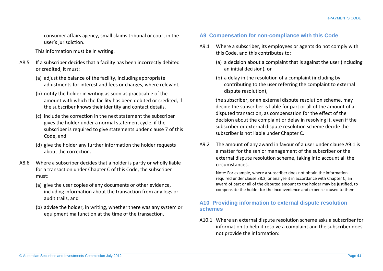consumer affairs agency, small claims tribunal or court in the user's jurisdiction.

This information must be in writing.

- A8.5 If a subscriber decides that a facility has been incorrectly debited or credited, it must:
	- (a) adjust the balance of the facility, including appropriate adjustments for interest and fees or charges, where relevant,
	- (b) notify the holder in writing as soon as practicable of the amount with which the facility has been debited or credited, if the subscriber knows their identity and contact details,
	- (c) include the correction in the next statement the subscriber gives the holder under a normal statement cycle, if the subscriber is required to give statements under clause 7 of this Code, and
	- (d) give the holder any further information the holder requests about the correction.
- A8.6 Where a subscriber decides that a holder is partly or wholly liable for a transaction under Chapter C of this Code, the subscriber must:
	- (a) give the user copies of any documents or other evidence, including information about the transaction from any logs or audit trails, and
	- (b) advise the holder, in writing, whether there was any system or equipment malfunction at the time of the transaction.

# **A9 Compensation for non-compliance with this Code**

- A9.1 Where a subscriber, its employees or agents do not comply with this Code, and this contributes to:
	- (a) a decision about a complaint that is against the user (including an initial decision), or
	- (b) a delay in the resolution of a complaint (including by contributing to the user referring the complaint to external dispute resolution),

the subscriber, or an external dispute resolution scheme, may decide the subscriber is liable for part or all of the amount of a disputed transaction, as compensation for the effect of the decision about the complaint or delay in resolving it, even if the subscriber or external dispute resolution scheme decide the subscriber is not liable under Chapter C.

A9.2 The amount of any award in favour of a user under clause A9.1 is a matter for the senior management of the subscriber or the external dispute resolution scheme, taking into account all the circumstances.

Note: For example, where a subscriber does not obtain the information required under clause 38.2, or analyse it in accordance with Chapter C, an award of part or all of the disputed amount to the holder may be justified, to compensate the holder for the inconvenience and expense caused to them.

#### **A10 Providing information to external dispute resolution schemes**

A10.1 Where an external dispute resolution scheme asks a subscriber for information to help it resolve a complaint and the subscriber does not provide the information: